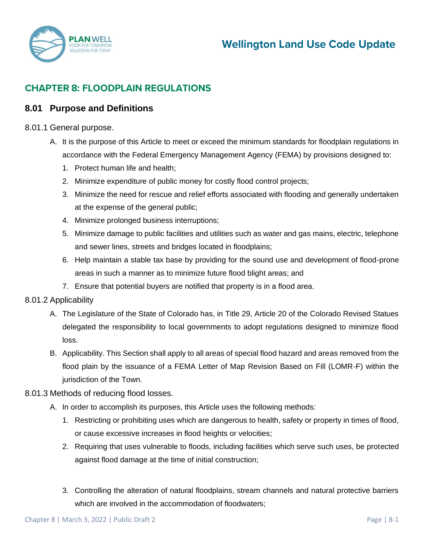

# **CHAPTER 8: FLOODPLAIN REGULATIONS**

# **8.01 Purpose and Definitions**

# 8.01.1 General purpose.

- A. It is the purpose of this Article to meet or exceed the minimum standards for floodplain regulations in accordance with the Federal Emergency Management Agency (FEMA) by provisions designed to:
	- 1. Protect human life and health;
	- 2. Minimize expenditure of public money for costly flood control projects;
	- 3. Minimize the need for rescue and relief efforts associated with flooding and generally undertaken at the expense of the general public;
	- 4. Minimize prolonged business interruptions;
	- 5. Minimize damage to public facilities and utilities such as water and gas mains, electric, telephone and sewer lines, streets and bridges located in floodplains;
	- 6. Help maintain a stable tax base by providing for the sound use and development of flood-prone areas in such a manner as to minimize future flood blight areas; and
	- 7. Ensure that potential buyers are notified that property is in a flood area.

#### 8.01.2 Applicability

- A. The Legislature of the State of Colorado has, in Title 29, Article 20 of the Colorado Revised Statues delegated the responsibility to local governments to adopt regulations designed to minimize flood loss.
- B. Applicability. This Section shall apply to all areas of special flood hazard and areas removed from the flood plain by the issuance of a FEMA Letter of Map Revision Based on Fill (LOMR-F) within the jurisdiction of the Town.

### 8.01.3 Methods of reducing flood losses.

- A. In order to accomplish its purposes, this Article uses the following methods:
	- 1. Restricting or prohibiting uses which are dangerous to health, safety or property in times of flood, or cause excessive increases in flood heights or velocities;
	- 2. Requiring that uses vulnerable to floods, including facilities which serve such uses, be protected against flood damage at the time of initial construction;
	- 3. Controlling the alteration of natural floodplains, stream channels and natural protective barriers which are involved in the accommodation of floodwaters;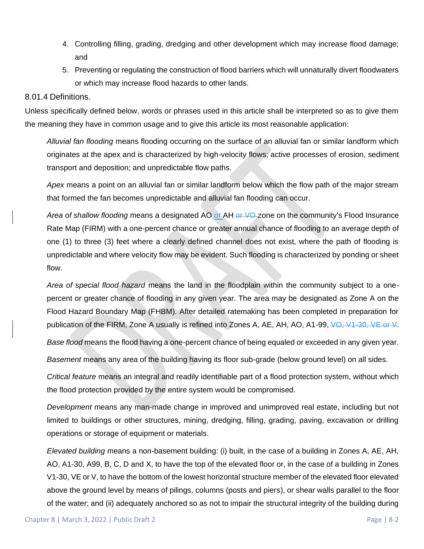- 4. Controlling filling, grading, dredging and other development which may increase flood damage; and
- 5. Preventing or regulating the construction of flood barriers which will unnaturally divert floodwaters or which may increase flood hazards to other lands.

#### 8.01.4 Definitions.

Unless specifically defined below, words or phrases used in this article shall be interpreted so as to give them the meaning they have in common usage and to give this article its most reasonable application:

*Alluvial fan flooding* means flooding occurring on the surface of an alluvial fan or similar landform which originates at the apex and is characterized by high-velocity flows; active processes of erosion, sediment transport and deposition; and unpredictable flow paths.

*Apex* means a point on an alluvial fan or similar landform below which the flow path of the major stream that formed the fan becomes unpredictable and alluvial fan flooding can occur.

Area of shallow flooding means a designated AO or AH or VO-zone on the community's Flood Insurance Rate Map (FIRM) with a one-percent chance or greater annual chance of flooding to an average depth of one (1) to three (3) feet where a clearly defined channel does not exist, where the path of flooding is unpredictable and where velocity flow may be evident. Such flooding is characterized by ponding or sheet flow.

*Area of special flood hazard* means the land in the floodplain within the community subject to a onepercent or greater chance of flooding in any given year. The area may be designated as Zone A on the Flood Hazard Boundary Map (FHBM). After detailed ratemaking has been completed in preparation for publication of the FIRM, Zone A usually is refined into Zones A, AE, AH, AO, A1-99,  $\sqrt{Q}$ , V1-30, VE or V.

*Base flood* means the flood having a one-percent chance of being equaled or exceeded in any given year.

*Basement* means any area of the building having its floor sub-grade (below ground level) on all sides.

*Critical feature* means an integral and readily identifiable part of a flood protection system, without which the flood protection provided by the entire system would be compromised.

*Development* means any man-made change in improved and unimproved real estate, including but not limited to buildings or other structures, mining, dredging, filling, grading, paving, excavation or drilling operations or storage of equipment or materials.

*Elevated building* means a non-basement building: (i) built, in the case of a building in Zones A, AE, AH, AO, A1-30, A99, B, C, D and X, to have the top of the elevated floor or, in the case of a building in Zones V1-30, VE or V, to have the bottom of the lowest horizontal structure member of the elevated floor elevated above the ground level by means of pilings, columns (posts and piers), or shear walls parallel to the floor of the water; and (ii) adequately anchored so as not to impair the structural integrity of the building during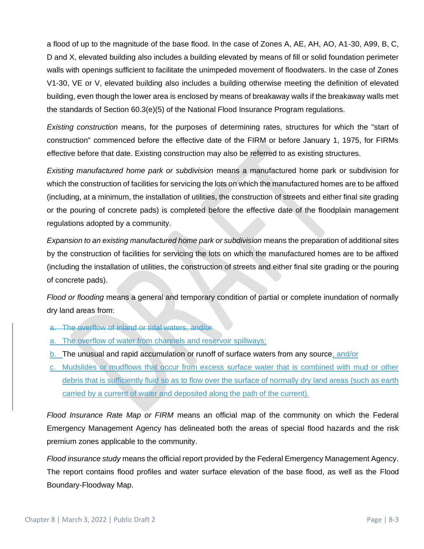a flood of up to the magnitude of the base flood. In the case of Zones A, AE, AH, AO, A1-30, A99, B, C, D and X, elevated building also includes a building elevated by means of fill or solid foundation perimeter walls with openings sufficient to facilitate the unimpeded movement of floodwaters. In the case of Zones V1-30, VE or V, elevated building also includes a building otherwise meeting the definition of elevated building, even though the lower area is enclosed by means of breakaway walls if the breakaway walls met the standards of Section 60.3(e)(5) of the National Flood Insurance Program regulations.

*Existing construction* means, for the purposes of determining rates, structures for which the "start of construction" commenced before the effective date of the FIRM or before January 1, 1975, for FIRMs effective before that date. Existing construction may also be referred to as existing structures.

*Existing manufactured home park or subdivision* means a manufactured home park or subdivision for which the construction of facilities for servicing the lots on which the manufactured homes are to be affixed (including, at a minimum, the installation of utilities, the construction of streets and either final site grading or the pouring of concrete pads) is completed before the effective date of the floodplain management regulations adopted by a community.

*Expansion to an existing manufactured home park or subdivision* means the preparation of additional sites by the construction of facilities for servicing the lots on which the manufactured homes are to be affixed (including the installation of utilities, the construction of streets and either final site grading or the pouring of concrete pads).

*Flood or flooding* means a general and temporary condition of partial or complete inundation of normally dry land areas from:

- a. The overflow of inland or tidal waters, and/or
- a. The overflow of water from channels and reservoir spillways;
- b. The unusual and rapid accumulation or runoff of surface waters from any source, and/or
- c. Mudslides or mudflows that occur from excess surface water that is combined with mud or other debris that is sufficiently fluid so as to flow over the surface of normally dry land areas (such as earth carried by a current of water and deposited along the path of the current).

*Flood Insurance Rate Map or FIRM* means an official map of the community on which the Federal Emergency Management Agency has delineated both the areas of special flood hazards and the risk premium zones applicable to the community.

*Flood insurance study* means the official report provided by the Federal Emergency Management Agency. The report contains flood profiles and water surface elevation of the base flood, as well as the Flood Boundary-Floodway Map.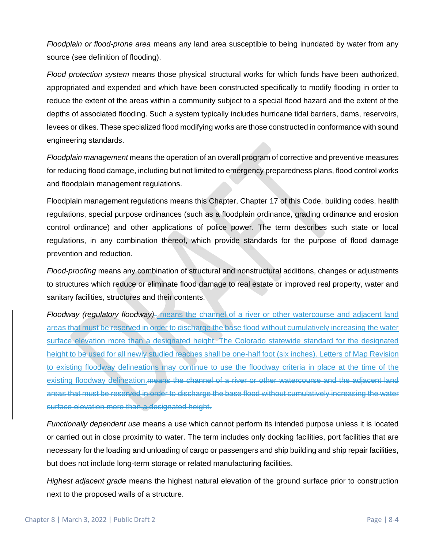*Floodplain or flood-prone area* means any land area susceptible to being inundated by water from any source (see definition of flooding).

*Flood protection system* means those physical structural works for which funds have been authorized, appropriated and expended and which have been constructed specifically to modify flooding in order to reduce the extent of the areas within a community subject to a special flood hazard and the extent of the depths of associated flooding. Such a system typically includes hurricane tidal barriers, dams, reservoirs, levees or dikes. These specialized flood modifying works are those constructed in conformance with sound engineering standards.

*Floodplain management* means the operation of an overall program of corrective and preventive measures for reducing flood damage, including but not limited to emergency preparedness plans, flood control works and floodplain management regulations.

Floodplain management regulations means this Chapter, Chapter 17 of this Code, building codes, health regulations, special purpose ordinances (such as a floodplain ordinance, grading ordinance and erosion control ordinance) and other applications of police power. The term describes such state or local regulations, in any combination thereof, which provide standards for the purpose of flood damage prevention and reduction.

*Flood-proofing* means any combination of structural and nonstructural additions, changes or adjustments to structures which reduce or eliminate flood damage to real estate or improved real property, water and sanitary facilities, structures and their contents.

*Floodway (regulatory floodway)* means the channel of a river or other watercourse and adjacent land areas that must be reserved in order to discharge the base flood without cumulatively increasing the water surface elevation more than a designated height. The Colorado statewide standard for the designated height to be used for all newly studied reaches shall be one-half foot (six inches). Letters of Map Revision to existing floodway delineations may continue to use the floodway criteria in place at the time of the existing floodway delineation. means the channel of a river or other watercourse and the adjacent land areas that must be reserved in order to discharge the base flood without cumulatively increasing the water surface elevation more than a designated height.

*Functionally dependent use* means a use which cannot perform its intended purpose unless it is located or carried out in close proximity to water. The term includes only docking facilities, port facilities that are necessary for the loading and unloading of cargo or passengers and ship building and ship repair facilities, but does not include long-term storage or related manufacturing facilities.

*Highest adjacent grade* means the highest natural elevation of the ground surface prior to construction next to the proposed walls of a structure.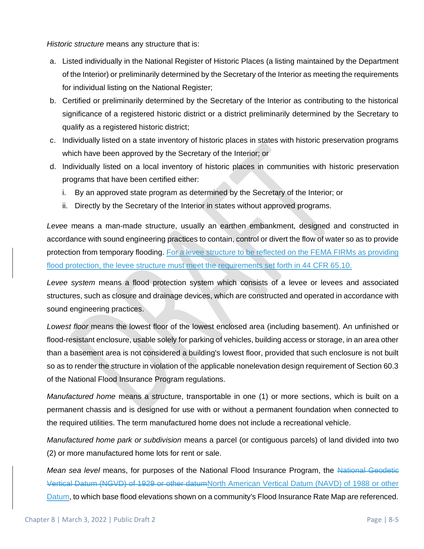*Historic structure* means any structure that is:

- a. Listed individually in the National Register of Historic Places (a listing maintained by the Department of the Interior) or preliminarily determined by the Secretary of the Interior as meeting the requirements for individual listing on the National Register;
- b. Certified or preliminarily determined by the Secretary of the Interior as contributing to the historical significance of a registered historic district or a district preliminarily determined by the Secretary to qualify as a registered historic district;
- c. Individually listed on a state inventory of historic places in states with historic preservation programs which have been approved by the Secretary of the Interior; or
- d. Individually listed on a local inventory of historic places in communities with historic preservation programs that have been certified either:
	- i. By an approved state program as determined by the Secretary of the Interior; or
	- ii. Directly by the Secretary of the Interior in states without approved programs.

*Levee* means a man-made structure, usually an earthen embankment, designed and constructed in accordance with sound engineering practices to contain, control or divert the flow of water so as to provide protection from temporary flooding. For a levee structure to be reflected on the FEMA FIRMs as providing flood protection, the levee structure must meet the requirements set forth in 44 CFR 65.10.

*Levee system* means a flood protection system which consists of a levee or levees and associated structures, such as closure and drainage devices, which are constructed and operated in accordance with sound engineering practices.

*Lowest floor* means the lowest floor of the lowest enclosed area (including basement). An unfinished or flood-resistant enclosure, usable solely for parking of vehicles, building access or storage, in an area other than a basement area is not considered a building's lowest floor, provided that such enclosure is not built so as to render the structure in violation of the applicable nonelevation design requirement of Section 60.3 of the National Flood Insurance Program regulations.

*Manufactured home* means a structure, transportable in one (1) or more sections, which is built on a permanent chassis and is designed for use with or without a permanent foundation when connected to the required utilities. The term manufactured home does not include a recreational vehicle.

*Manufactured home park or subdivision* means a parcel (or contiguous parcels) of land divided into two (2) or more manufactured home lots for rent or sale.

*Mean sea level* means, for purposes of the National Flood Insurance Program, the National Geodetic Vertical Datum (NGVD) of 1929 or other datumNorth American Vertical Datum (NAVD) of 1988 or other Datum, to which base flood elevations shown on a community's Flood Insurance Rate Map are referenced.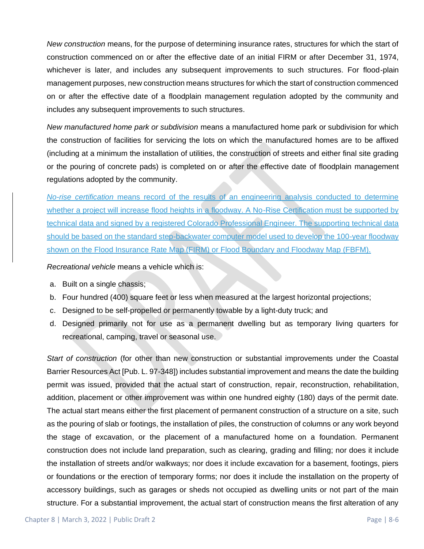*New construction* means, for the purpose of determining insurance rates, structures for which the start of construction commenced on or after the effective date of an initial FIRM or after December 31, 1974, whichever is later, and includes any subsequent improvements to such structures. For flood-plain management purposes, new construction means structures for which the start of construction commenced on or after the effective date of a floodplain management regulation adopted by the community and includes any subsequent improvements to such structures.

*New manufactured home park or subdivision* means a manufactured home park or subdivision for which the construction of facilities for servicing the lots on which the manufactured homes are to be affixed (including at a minimum the installation of utilities, the construction of streets and either final site grading or the pouring of concrete pads) is completed on or after the effective date of floodplain management regulations adopted by the community.

*No-rise certification* means record of the results of an engineering analysis conducted to determine whether a project will increase flood heights in a floodway. A No-Rise Certification must be supported by technical data and signed by a registered Colorado Professional Engineer. The supporting technical data should be based on the standard step-backwater computer model used to develop the 100-year floodway shown on the Flood Insurance Rate Map (FIRM) or Flood Boundary and Floodway Map (FBFM).

*Recreational vehicle* means a vehicle which is:

- a. Built on a single chassis;
- b. Four hundred (400) square feet or less when measured at the largest horizontal projections;
- c. Designed to be self-propelled or permanently towable by a light-duty truck; and
- d. Designed primarily not for use as a permanent dwelling but as temporary living quarters for recreational, camping, travel or seasonal use.

*Start of construction* (for other than new construction or substantial improvements under the Coastal Barrier Resources Act [Pub. L. 97-348]) includes substantial improvement and means the date the building permit was issued, provided that the actual start of construction, repair, reconstruction, rehabilitation, addition, placement or other improvement was within one hundred eighty (180) days of the permit date. The actual start means either the first placement of permanent construction of a structure on a site, such as the pouring of slab or footings, the installation of piles, the construction of columns or any work beyond the stage of excavation, or the placement of a manufactured home on a foundation. Permanent construction does not include land preparation, such as clearing, grading and filling; nor does it include the installation of streets and/or walkways; nor does it include excavation for a basement, footings, piers or foundations or the erection of temporary forms; nor does it include the installation on the property of accessory buildings, such as garages or sheds not occupied as dwelling units or not part of the main structure. For a substantial improvement, the actual start of construction means the first alteration of any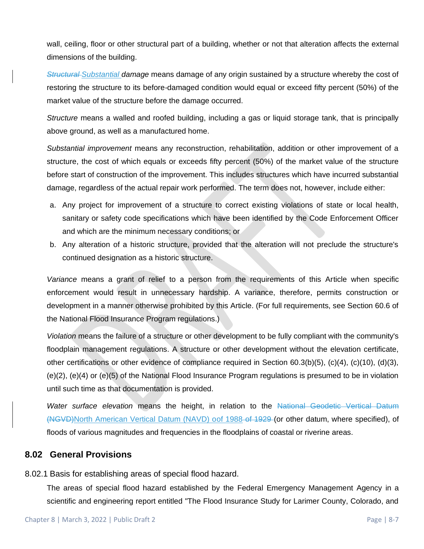wall, ceiling, floor or other structural part of a building, whether or not that alteration affects the external dimensions of the building.

*Structural Substantial damage* means damage of any origin sustained by a structure whereby the cost of restoring the structure to its before-damaged condition would equal or exceed fifty percent (50%) of the market value of the structure before the damage occurred.

*Structure* means a walled and roofed building, including a gas or liquid storage tank, that is principally above ground, as well as a manufactured home.

*Substantial improvement* means any reconstruction, rehabilitation, addition or other improvement of a structure, the cost of which equals or exceeds fifty percent (50%) of the market value of the structure before start of construction of the improvement. This includes structures which have incurred substantial damage, regardless of the actual repair work performed. The term does not, however, include either:

- a. Any project for improvement of a structure to correct existing violations of state or local health, sanitary or safety code specifications which have been identified by the Code Enforcement Officer and which are the minimum necessary conditions; or
- b. Any alteration of a historic structure, provided that the alteration will not preclude the structure's continued designation as a historic structure.

*Variance* means a grant of relief to a person from the requirements of this Article when specific enforcement would result in unnecessary hardship. A variance, therefore, permits construction or development in a manner otherwise prohibited by this Article. (For full requirements, see Section 60.6 of the National Flood Insurance Program regulations.)

*Violation* means the failure of a structure or other development to be fully compliant with the community's floodplain management regulations. A structure or other development without the elevation certificate, other certifications or other evidence of compliance required in Section 60.3(b)(5), (c)(4), (c)(10), (d)(3), (e)(2), (e)(4) or (e)(5) of the National Flood Insurance Program regulations is presumed to be in violation until such time as that documentation is provided.

*Water surface elevation* means the height, in relation to the National Geodetic Vertical Datum (NGVD)North American Vertical Datum (NAVD) oof 1988-of 1929 (or other datum, where specified), of floods of various magnitudes and frequencies in the floodplains of coastal or riverine areas.

# **8.02 General Provisions**

8.02.1 Basis for establishing areas of special flood hazard.

The areas of special flood hazard established by the Federal Emergency Management Agency in a scientific and engineering report entitled "The Flood Insurance Study for Larimer County, Colorado, and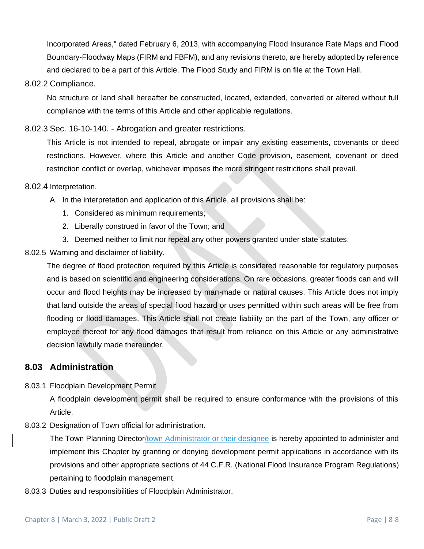Incorporated Areas," dated February 6, 2013, with accompanying Flood Insurance Rate Maps and Flood Boundary-Floodway Maps (FIRM and FBFM), and any revisions thereto, are hereby adopted by reference and declared to be a part of this Article. The Flood Study and FIRM is on file at the Town Hall.

#### 8.02.2 Compliance.

No structure or land shall hereafter be constructed, located, extended, converted or altered without full compliance with the terms of this Article and other applicable regulations.

## 8.02.3 Sec. 16-10-140. - Abrogation and greater restrictions.

This Article is not intended to repeal, abrogate or impair any existing easements, covenants or deed restrictions. However, where this Article and another Code provision, easement, covenant or deed restriction conflict or overlap, whichever imposes the more stringent restrictions shall prevail.

#### 8.02.4 Interpretation.

- A. In the interpretation and application of this Article, all provisions shall be:
	- 1. Considered as minimum requirements;
	- 2. Liberally construed in favor of the Town; and
	- 3. Deemed neither to limit nor repeal any other powers granted under state statutes.

### 8.02.5 Warning and disclaimer of liability.

The degree of flood protection required by this Article is considered reasonable for regulatory purposes and is based on scientific and engineering considerations. On rare occasions, greater floods can and will occur and flood heights may be increased by man-made or natural causes. This Article does not imply that land outside the areas of special flood hazard or uses permitted within such areas will be free from flooding or flood damages. This Article shall not create liability on the part of the Town, any officer or employee thereof for any flood damages that result from reliance on this Article or any administrative decision lawfully made thereunder.

# **8.03 Administration**

### 8.03.1 Floodplain Development Permit

A floodplain development permit shall be required to ensure conformance with the provisions of this Article.

8.03.2 Designation of Town official for administration.

The Town Planning Director/town Administrator or their designee is hereby appointed to administer and implement this Chapter by granting or denying development permit applications in accordance with its provisions and other appropriate sections of 44 C.F.R. (National Flood Insurance Program Regulations) pertaining to floodplain management.

8.03.3 Duties and responsibilities of Floodplain Administrator.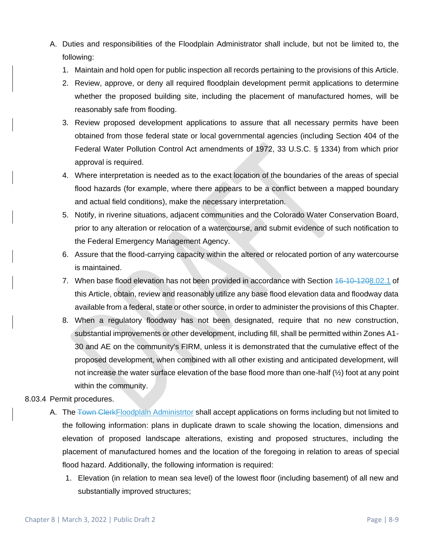- A. Duties and responsibilities of the Floodplain Administrator shall include, but not be limited to, the following:
	- 1. Maintain and hold open for public inspection all records pertaining to the provisions of this Article.
	- 2. Review, approve, or deny all required floodplain development permit applications to determine whether the proposed building site, including the placement of manufactured homes, will be reasonably safe from flooding.
	- 3. Review proposed development applications to assure that all necessary permits have been obtained from those federal state or local governmental agencies (including Section 404 of the Federal Water Pollution Control Act amendments of 1972, 33 U.S.C. § 1334) from which prior approval is required.
	- 4. Where interpretation is needed as to the exact location of the boundaries of the areas of special flood hazards (for example, where there appears to be a conflict between a mapped boundary and actual field conditions), make the necessary interpretation.
	- 5. Notify, in riverine situations, adjacent communities and the Colorado Water Conservation Board, prior to any alteration or relocation of a watercourse, and submit evidence of such notification to the Federal Emergency Management Agency.
	- 6. Assure that the flood-carrying capacity within the altered or relocated portion of any watercourse is maintained.
	- 7. When base flood elevation has not been provided in accordance with Section  $46-10-1208.02.1$  of this Article, obtain, review and reasonably utilize any base flood elevation data and floodway data available from a federal, state or other source, in order to administer the provisions of this Chapter.
	- 8. When a regulatory floodway has not been designated, require that no new construction, substantial improvements or other development, including fill, shall be permitted within Zones A1- 30 and AE on the community's FIRM, unless it is demonstrated that the cumulative effect of the proposed development, when combined with all other existing and anticipated development, will not increase the water surface elevation of the base flood more than one-half (½) foot at any point within the community.

### 8.03.4 Permit procedures.

- A. The Town ClerkFloodplain Administrtor shall accept applications on forms including but not limited to the following information: plans in duplicate drawn to scale showing the location, dimensions and elevation of proposed landscape alterations, existing and proposed structures, including the placement of manufactured homes and the location of the foregoing in relation to areas of special flood hazard. Additionally, the following information is required:
	- 1. Elevation (in relation to mean sea level) of the lowest floor (including basement) of all new and substantially improved structures;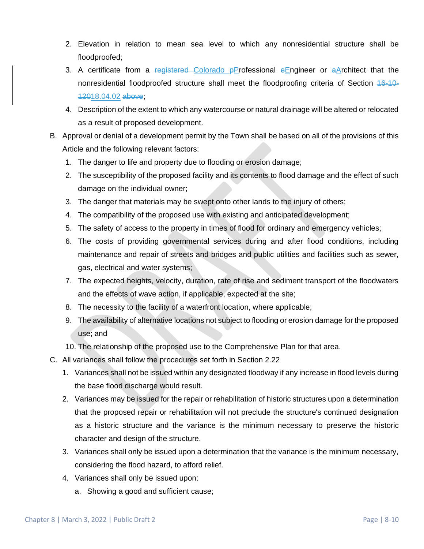- 2. Elevation in relation to mean sea level to which any nonresidential structure shall be floodproofed;
- 3. A certificate from a registered Colorado  $\beta$ Professional eEngineer or aArchitect that the nonresidential floodproofed structure shall meet the floodproofing criteria of Section 16-10- 12018.04.02 above;
- 4. Description of the extent to which any watercourse or natural drainage will be altered or relocated as a result of proposed development.
- B. Approval or denial of a development permit by the Town shall be based on all of the provisions of this Article and the following relevant factors:
	- 1. The danger to life and property due to flooding or erosion damage;
	- 2. The susceptibility of the proposed facility and its contents to flood damage and the effect of such damage on the individual owner;
	- 3. The danger that materials may be swept onto other lands to the injury of others;
	- 4. The compatibility of the proposed use with existing and anticipated development;
	- 5. The safety of access to the property in times of flood for ordinary and emergency vehicles;
	- 6. The costs of providing governmental services during and after flood conditions, including maintenance and repair of streets and bridges and public utilities and facilities such as sewer, gas, electrical and water systems;
	- 7. The expected heights, velocity, duration, rate of rise and sediment transport of the floodwaters and the effects of wave action, if applicable, expected at the site;
	- 8. The necessity to the facility of a waterfront location, where applicable;
	- 9. The availability of alternative locations not subject to flooding or erosion damage for the proposed use; and
	- 10. The relationship of the proposed use to the Comprehensive Plan for that area.
- C. All variances shall follow the procedures set forth in Section 2.22
	- 1. Variances shall not be issued within any designated floodway if any increase in flood levels during the base flood discharge would result.
	- 2. Variances may be issued for the repair or rehabilitation of historic structures upon a determination that the proposed repair or rehabilitation will not preclude the structure's continued designation as a historic structure and the variance is the minimum necessary to preserve the historic character and design of the structure.
	- 3. Variances shall only be issued upon a determination that the variance is the minimum necessary, considering the flood hazard, to afford relief.
	- 4. Variances shall only be issued upon:
		- a. Showing a good and sufficient cause;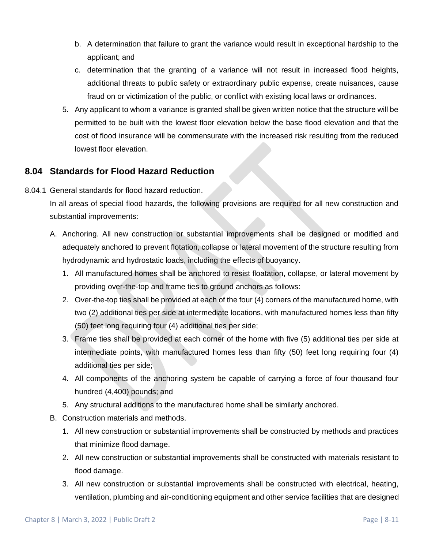- b. A determination that failure to grant the variance would result in exceptional hardship to the applicant; and
- c. determination that the granting of a variance will not result in increased flood heights, additional threats to public safety or extraordinary public expense, create nuisances, cause fraud on or victimization of the public, or conflict with existing local laws or ordinances.
- 5. Any applicant to whom a variance is granted shall be given written notice that the structure will be permitted to be built with the lowest floor elevation below the base flood elevation and that the cost of flood insurance will be commensurate with the increased risk resulting from the reduced lowest floor elevation.

# **8.04 Standards for Flood Hazard Reduction**

8.04.1 General standards for flood hazard reduction.

In all areas of special flood hazards, the following provisions are required for all new construction and substantial improvements:

- A. Anchoring. All new construction or substantial improvements shall be designed or modified and adequately anchored to prevent flotation, collapse or lateral movement of the structure resulting from hydrodynamic and hydrostatic loads, including the effects of buoyancy.
	- 1. All manufactured homes shall be anchored to resist floatation, collapse, or lateral movement by providing over-the-top and frame ties to ground anchors as follows:
	- 2. Over-the-top ties shall be provided at each of the four (4) corners of the manufactured home, with two (2) additional ties per side at intermediate locations, with manufactured homes less than fifty (50) feet long requiring four (4) additional ties per side;
	- 3. Frame ties shall be provided at each corner of the home with five (5) additional ties per side at intermediate points, with manufactured homes less than fifty (50) feet long requiring four (4) additional ties per side;
	- 4. All components of the anchoring system be capable of carrying a force of four thousand four hundred (4,400) pounds; and
	- 5. Any structural additions to the manufactured home shall be similarly anchored.
- B. Construction materials and methods.
	- 1. All new construction or substantial improvements shall be constructed by methods and practices that minimize flood damage.
	- 2. All new construction or substantial improvements shall be constructed with materials resistant to flood damage.
	- 3. All new construction or substantial improvements shall be constructed with electrical, heating, ventilation, plumbing and air-conditioning equipment and other service facilities that are designed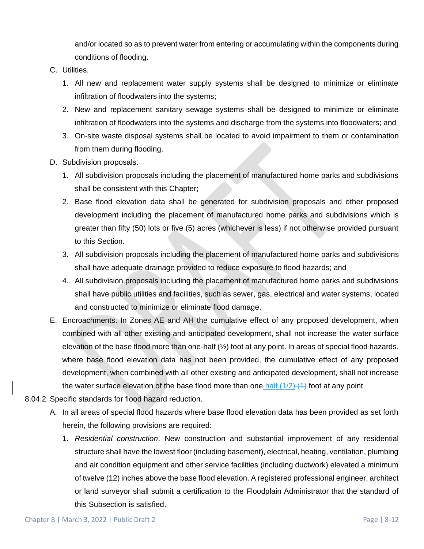and/or located so as to prevent water from entering or accumulating within the components during conditions of flooding.

- C. Utilities.
	- 1. All new and replacement water supply systems shall be designed to minimize or eliminate infiltration of floodwaters into the systems;
	- 2. New and replacement sanitary sewage systems shall be designed to minimize or eliminate infiltration of floodwaters into the systems and discharge from the systems into floodwaters; and
	- 3. On-site waste disposal systems shall be located to avoid impairment to them or contamination from them during flooding.
- D. Subdivision proposals.
	- 1. All subdivision proposals including the placement of manufactured home parks and subdivisions shall be consistent with this Chapter;
	- 2. Base flood elevation data shall be generated for subdivision proposals and other proposed development including the placement of manufactured home parks and subdivisions which is greater than fifty (50) lots or five (5) acres (whichever is less) if not otherwise provided pursuant to this Section.
	- 3. All subdivision proposals including the placement of manufactured home parks and subdivisions shall have adequate drainage provided to reduce exposure to flood hazards; and
	- 4. All subdivision proposals including the placement of manufactured home parks and subdivisions shall have public utilities and facilities, such as sewer, gas, electrical and water systems, located and constructed to minimize or eliminate flood damage.
- E. Encroachments. In Zones AE and AH the cumulative effect of any proposed development, when combined with all other existing and anticipated development, shall not increase the water surface elevation of the base flood more than one-half  $(\frac{1}{2})$  foot at any point. In areas of special flood hazards, where base flood elevation data has not been provided, the cumulative effect of any proposed development, when combined with all other existing and anticipated development, shall not increase the water surface elevation of the base flood more than one half  $(1/2)$   $(4)$  foot at any point.
- 8.04.2 Specific standards for flood hazard reduction.
	- A. In all areas of special flood hazards where base flood elevation data has been provided as set forth herein, the following provisions are required:
		- 1. *Residential construction*. New construction and substantial improvement of any residential structure shall have the lowest floor (including basement), electrical, heating, ventilation, plumbing and air condition equipment and other service facilities (including ductwork) elevated a minimum of twelve (12) inches above the base flood elevation. A registered professional engineer, architect or land surveyor shall submit a certification to the Floodplain Administrator that the standard of this Subsection is satisfied.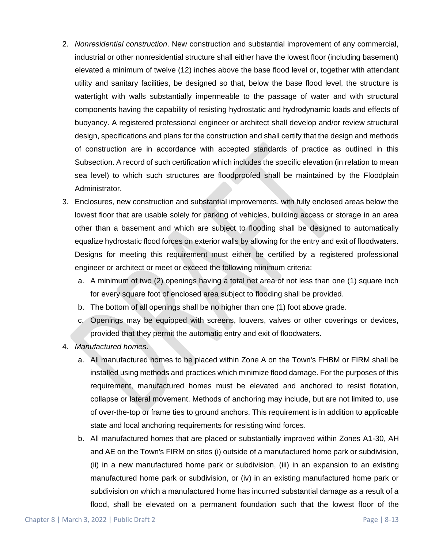- 2. *Nonresidential construction*. New construction and substantial improvement of any commercial, industrial or other nonresidential structure shall either have the lowest floor (including basement) elevated a minimum of twelve (12) inches above the base flood level or, together with attendant utility and sanitary facilities, be designed so that, below the base flood level, the structure is watertight with walls substantially impermeable to the passage of water and with structural components having the capability of resisting hydrostatic and hydrodynamic loads and effects of buoyancy. A registered professional engineer or architect shall develop and/or review structural design, specifications and plans for the construction and shall certify that the design and methods of construction are in accordance with accepted standards of practice as outlined in this Subsection. A record of such certification which includes the specific elevation (in relation to mean sea level) to which such structures are floodproofed shall be maintained by the Floodplain Administrator.
- 3. Enclosures, new construction and substantial improvements, with fully enclosed areas below the lowest floor that are usable solely for parking of vehicles, building access or storage in an area other than a basement and which are subject to flooding shall be designed to automatically equalize hydrostatic flood forces on exterior walls by allowing for the entry and exit of floodwaters. Designs for meeting this requirement must either be certified by a registered professional engineer or architect or meet or exceed the following minimum criteria:
	- a. A minimum of two (2) openings having a total net area of not less than one (1) square inch for every square foot of enclosed area subject to flooding shall be provided.
	- b. The bottom of all openings shall be no higher than one (1) foot above grade.
	- c. Openings may be equipped with screens, louvers, valves or other coverings or devices, provided that they permit the automatic entry and exit of floodwaters.
- 4. *Manufactured homes*.
	- a. All manufactured homes to be placed within Zone A on the Town's FHBM or FIRM shall be installed using methods and practices which minimize flood damage. For the purposes of this requirement, manufactured homes must be elevated and anchored to resist flotation, collapse or lateral movement. Methods of anchoring may include, but are not limited to, use of over-the-top or frame ties to ground anchors. This requirement is in addition to applicable state and local anchoring requirements for resisting wind forces.
	- b. All manufactured homes that are placed or substantially improved within Zones A1-30, AH and AE on the Town's FIRM on sites (i) outside of a manufactured home park or subdivision, (ii) in a new manufactured home park or subdivision, (iii) in an expansion to an existing manufactured home park or subdivision, or (iv) in an existing manufactured home park or subdivision on which a manufactured home has incurred substantial damage as a result of a flood, shall be elevated on a permanent foundation such that the lowest floor of the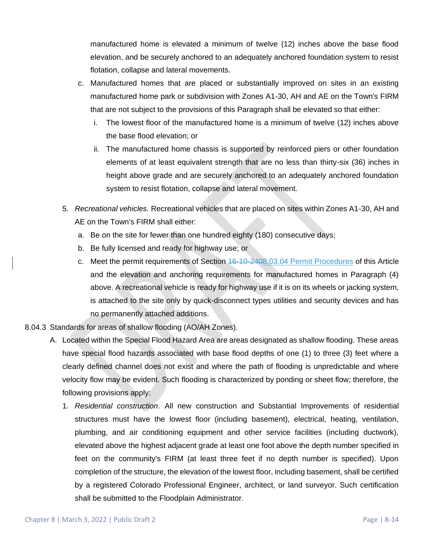manufactured home is elevated a minimum of twelve (12) inches above the base flood elevation, and be securely anchored to an adequately anchored foundation system to resist flotation, collapse and lateral movements.

- c. Manufactured homes that are placed or substantially improved on sites in an existing manufactured home park or subdivision with Zones A1-30, AH and AE on the Town's FIRM that are not subject to the provisions of this Paragraph shall be elevated so that either:
	- i. The lowest floor of the manufactured home is a minimum of twelve (12) inches above the base flood elevation; or
	- ii. The manufactured home chassis is supported by reinforced piers or other foundation elements of at least equivalent strength that are no less than thirty-six (36) inches in height above grade and are securely anchored to an adequately anchored foundation system to resist flotation, collapse and lateral movement.
- 5. *Recreational vehicles.* Recreational vehicles that are placed on sites within Zones A1-30, AH and AE on the Town's FIRM shall either:
	- a. Be on the site for fewer than one hundred eighty (180) consecutive days;
	- b. Be fully licensed and ready for highway use; or
	- c. Meet the permit requirements of Section 16-10-2408.03.04 Permit Procedures of this Article and the elevation and anchoring requirements for manufactured homes in Paragraph (4) above. A recreational vehicle is ready for highway use if it is on its wheels or jacking system, is attached to the site only by quick-disconnect types utilities and security devices and has no permanently attached additions.
- 8.04.3 Standards for areas of shallow flooding (AO/AH Zones).
	- A. Located within the Special Flood Hazard Area are areas designated as shallow flooding. These areas have special flood hazards associated with base flood depths of one (1) to three (3) feet where a clearly defined channel does not exist and where the path of flooding is unpredictable and where velocity flow may be evident. Such flooding is characterized by ponding or sheet flow; therefore, the following provisions apply:
		- 1. *Residential construction*. All new construction and Substantial Improvements of residential structures must have the lowest floor (including basement), electrical, heating, ventilation, plumbing, and air conditioning equipment and other service facilities (including ductwork), elevated above the highest adjacent grade at least one foot above the depth number specified in feet on the community's FIRM (at least three feet if no depth number is specified). Upon completion of the structure, the elevation of the lowest floor, including basement, shall be certified by a registered Colorado Professional Engineer, architect, or land surveyor. Such certification shall be submitted to the Floodplain Administrator.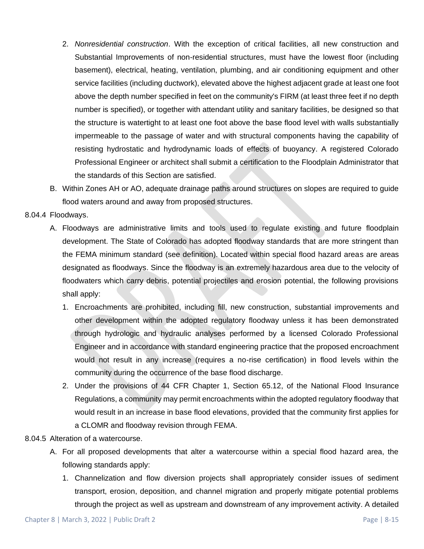- 2. *Nonresidential construction*. With the exception of critical facilities, all new construction and Substantial Improvements of non-residential structures, must have the lowest floor (including basement), electrical, heating, ventilation, plumbing, and air conditioning equipment and other service facilities (including ductwork), elevated above the highest adjacent grade at least one foot above the depth number specified in feet on the community's FIRM (at least three feet if no depth number is specified), or together with attendant utility and sanitary facilities, be designed so that the structure is watertight to at least one foot above the base flood level with walls substantially impermeable to the passage of water and with structural components having the capability of resisting hydrostatic and hydrodynamic loads of effects of buoyancy. A registered Colorado Professional Engineer or architect shall submit a certification to the Floodplain Administrator that the standards of this Section are satisfied.
- B. Within Zones AH or AO, adequate drainage paths around structures on slopes are required to guide flood waters around and away from proposed structures.

#### 8.04.4 Floodways.

- A. Floodways are administrative limits and tools used to regulate existing and future floodplain development. The State of Colorado has adopted floodway standards that are more stringent than the FEMA minimum standard (see definition). Located within special flood hazard areas are areas designated as floodways. Since the floodway is an extremely hazardous area due to the velocity of floodwaters which carry debris, potential projectiles and erosion potential, the following provisions shall apply:
	- 1. Encroachments are prohibited, including fill, new construction, substantial improvements and other development within the adopted regulatory floodway unless it has been demonstrated through hydrologic and hydraulic analyses performed by a licensed Colorado Professional Engineer and in accordance with standard engineering practice that the proposed encroachment would not result in any increase (requires a no-rise certification) in flood levels within the community during the occurrence of the base flood discharge.
	- 2. Under the provisions of 44 CFR Chapter 1, Section 65.12, of the National Flood Insurance Regulations, a community may permit encroachments within the adopted regulatory floodway that would result in an increase in base flood elevations, provided that the community first applies for a CLOMR and floodway revision through FEMA.

#### 8.04.5 Alteration of a watercourse.

- A. For all proposed developments that alter a watercourse within a special flood hazard area, the following standards apply:
	- 1. Channelization and flow diversion projects shall appropriately consider issues of sediment transport, erosion, deposition, and channel migration and properly mitigate potential problems through the project as well as upstream and downstream of any improvement activity. A detailed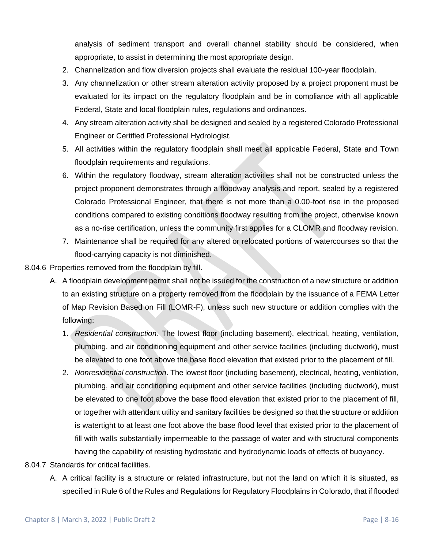analysis of sediment transport and overall channel stability should be considered, when appropriate, to assist in determining the most appropriate design.

- 2. Channelization and flow diversion projects shall evaluate the residual 100-year floodplain.
- 3. Any channelization or other stream alteration activity proposed by a project proponent must be evaluated for its impact on the regulatory floodplain and be in compliance with all applicable Federal, State and local floodplain rules, regulations and ordinances.
- 4. Any stream alteration activity shall be designed and sealed by a registered Colorado Professional Engineer or Certified Professional Hydrologist.
- 5. All activities within the regulatory floodplain shall meet all applicable Federal, State and Town floodplain requirements and regulations.
- 6. Within the regulatory floodway, stream alteration activities shall not be constructed unless the project proponent demonstrates through a floodway analysis and report, sealed by a registered Colorado Professional Engineer, that there is not more than a 0.00-foot rise in the proposed conditions compared to existing conditions floodway resulting from the project, otherwise known as a no-rise certification, unless the community first applies for a CLOMR and floodway revision.
- 7. Maintenance shall be required for any altered or relocated portions of watercourses so that the flood-carrying capacity is not diminished.

#### 8.04.6 Properties removed from the floodplain by fill.

- A. A floodplain development permit shall not be issued for the construction of a new structure or addition to an existing structure on a property removed from the floodplain by the issuance of a FEMA Letter of Map Revision Based on Fill (LOMR-F), unless such new structure or addition complies with the following:
	- 1. *Residential construction*. The lowest floor (including basement), electrical, heating, ventilation, plumbing, and air conditioning equipment and other service facilities (including ductwork), must be elevated to one foot above the base flood elevation that existed prior to the placement of fill.
	- 2. *Nonresidential construction*. The lowest floor (including basement), electrical, heating, ventilation, plumbing, and air conditioning equipment and other service facilities (including ductwork), must be elevated to one foot above the base flood elevation that existed prior to the placement of fill, or together with attendant utility and sanitary facilities be designed so that the structure or addition is watertight to at least one foot above the base flood level that existed prior to the placement of fill with walls substantially impermeable to the passage of water and with structural components having the capability of resisting hydrostatic and hydrodynamic loads of effects of buoyancy.
- 8.04.7 Standards for critical facilities.
	- A. A critical facility is a structure or related infrastructure, but not the land on which it is situated, as specified in Rule 6 of the Rules and Regulations for Regulatory Floodplains in Colorado, that if flooded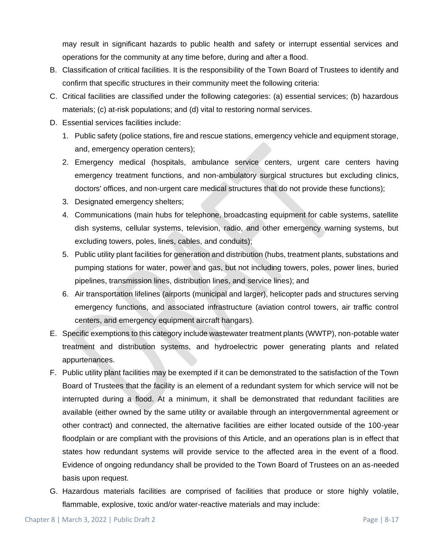may result in significant hazards to public health and safety or interrupt essential services and operations for the community at any time before, during and after a flood.

- B. Classification of critical facilities. It is the responsibility of the Town Board of Trustees to identify and confirm that specific structures in their community meet the following criteria:
- C. Critical facilities are classified under the following categories: (a) essential services; (b) hazardous materials; (c) at-risk populations; and (d) vital to restoring normal services.
- D. Essential services facilities include:
	- 1. Public safety (police stations, fire and rescue stations, emergency vehicle and equipment storage, and, emergency operation centers);
	- 2. Emergency medical (hospitals, ambulance service centers, urgent care centers having emergency treatment functions, and non-ambulatory surgical structures but excluding clinics, doctors' offices, and non-urgent care medical structures that do not provide these functions);
	- 3. Designated emergency shelters;
	- 4. Communications (main hubs for telephone, broadcasting equipment for cable systems, satellite dish systems, cellular systems, television, radio, and other emergency warning systems, but excluding towers, poles, lines, cables, and conduits);
	- 5. Public utility plant facilities for generation and distribution (hubs, treatment plants, substations and pumping stations for water, power and gas, but not including towers, poles, power lines, buried pipelines, transmission lines, distribution lines, and service lines); and
	- 6. Air transportation lifelines (airports (municipal and larger), helicopter pads and structures serving emergency functions, and associated infrastructure (aviation control towers, air traffic control centers, and emergency equipment aircraft hangars).
- E. Specific exemptions to this category include wastewater treatment plants (WWTP), non-potable water treatment and distribution systems, and hydroelectric power generating plants and related appurtenances.
- F. Public utility plant facilities may be exempted if it can be demonstrated to the satisfaction of the Town Board of Trustees that the facility is an element of a redundant system for which service will not be interrupted during a flood. At a minimum, it shall be demonstrated that redundant facilities are available (either owned by the same utility or available through an intergovernmental agreement or other contract) and connected, the alternative facilities are either located outside of the 100-year floodplain or are compliant with the provisions of this Article, and an operations plan is in effect that states how redundant systems will provide service to the affected area in the event of a flood. Evidence of ongoing redundancy shall be provided to the Town Board of Trustees on an as-needed basis upon request.
- G. Hazardous materials facilities are comprised of facilities that produce or store highly volatile, flammable, explosive, toxic and/or water-reactive materials and may include: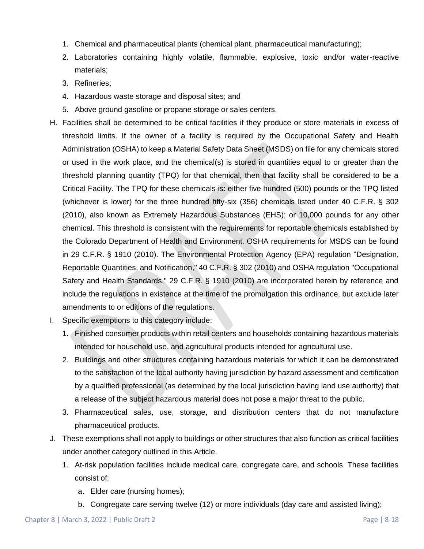- 1. Chemical and pharmaceutical plants (chemical plant, pharmaceutical manufacturing);
- 2. Laboratories containing highly volatile, flammable, explosive, toxic and/or water-reactive materials;
- 3. Refineries;
- 4. Hazardous waste storage and disposal sites; and
- 5. Above ground gasoline or propane storage or sales centers.
- H. Facilities shall be determined to be critical facilities if they produce or store materials in excess of threshold limits. If the owner of a facility is required by the Occupational Safety and Health Administration (OSHA) to keep a Material Safety Data Sheet (MSDS) on file for any chemicals stored or used in the work place, and the chemical(s) is stored in quantities equal to or greater than the threshold planning quantity (TPQ) for that chemical, then that facility shall be considered to be a Critical Facility. The TPQ for these chemicals is: either five hundred (500) pounds or the TPQ listed (whichever is lower) for the three hundred fifty-six (356) chemicals listed under 40 C.F.R. § 302 (2010), also known as Extremely Hazardous Substances (EHS); or 10,000 pounds for any other chemical. This threshold is consistent with the requirements for reportable chemicals established by the Colorado Department of Health and Environment. OSHA requirements for MSDS can be found in 29 C.F.R. § 1910 (2010). The Environmental Protection Agency (EPA) regulation "Designation, Reportable Quantities, and Notification," 40 C.F.R. § 302 (2010) and OSHA regulation "Occupational Safety and Health Standards," 29 C.F.R. § 1910 (2010) are incorporated herein by reference and include the regulations in existence at the time of the promulgation this ordinance, but exclude later amendments to or editions of the regulations.
- I. Specific exemptions to this category include:
	- 1. Finished consumer products within retail centers and households containing hazardous materials intended for household use, and agricultural products intended for agricultural use.
	- 2. Buildings and other structures containing hazardous materials for which it can be demonstrated to the satisfaction of the local authority having jurisdiction by hazard assessment and certification by a qualified professional (as determined by the local jurisdiction having land use authority) that a release of the subject hazardous material does not pose a major threat to the public.
	- 3. Pharmaceutical sales, use, storage, and distribution centers that do not manufacture pharmaceutical products.
- J. These exemptions shall not apply to buildings or other structures that also function as critical facilities under another category outlined in this Article.
	- 1. At-risk population facilities include medical care, congregate care, and schools. These facilities consist of:
		- a. Elder care (nursing homes);
		- b. Congregate care serving twelve (12) or more individuals (day care and assisted living);